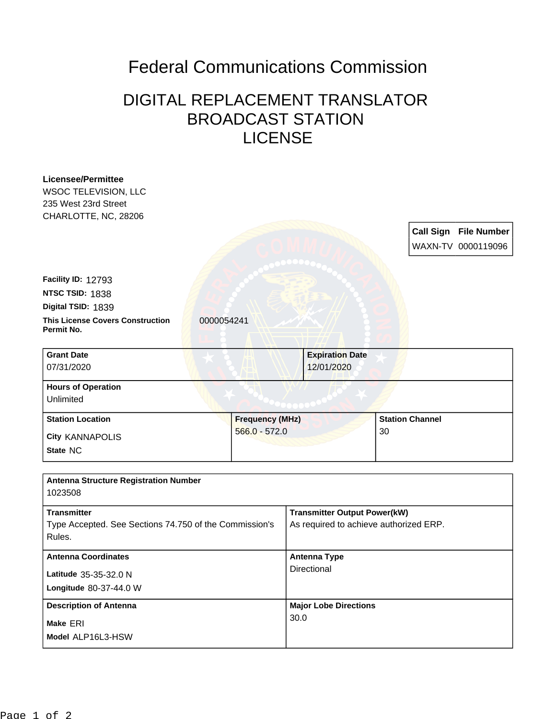## Federal Communications Commission

## DIGITAL REPLACEMENT TRANSLATOR BROADCAST STATION LICENSE

| <b>Licensee/Permittee</b>                                        |                        |                                        |                              |
|------------------------------------------------------------------|------------------------|----------------------------------------|------------------------------|
| <b>WSOC TELEVISION, LLC</b>                                      |                        |                                        |                              |
| 235 West 23rd Street                                             |                        |                                        |                              |
| CHARLOTTE, NC, 28206                                             |                        |                                        |                              |
|                                                                  |                        |                                        | <b>Call Sign File Number</b> |
|                                                                  |                        |                                        | WAXN-TV 0000119096           |
|                                                                  |                        |                                        |                              |
| Facility ID: 12793                                               |                        |                                        |                              |
| NTSC TSID: 1838                                                  |                        |                                        |                              |
| Digital TSID: 1839                                               |                        |                                        |                              |
| <b>This License Covers Construction</b><br>Permit No.            | 0000054241             |                                        |                              |
| <b>Grant Date</b>                                                |                        | <b>Expiration Date</b>                 |                              |
| 07/31/2020                                                       |                        | 12/01/2020                             |                              |
| <b>Hours of Operation</b>                                        |                        |                                        |                              |
| Unlimited                                                        |                        |                                        |                              |
| <b>Station Location</b>                                          | <b>Frequency (MHz)</b> |                                        | <b>Station Channel</b>       |
|                                                                  |                        |                                        |                              |
| <b>City KANNAPOLIS</b>                                           | $566.0 - 572.0$        |                                        | 30                           |
| State NC                                                         |                        |                                        |                              |
|                                                                  |                        |                                        |                              |
| <b>Antenna Structure Registration Number</b><br>1023508          |                        |                                        |                              |
| <b>Transmitter</b>                                               |                        | <b>Transmitter Output Power(kW)</b>    |                              |
| Type Accepted. See Sections 74.750 of the Commission's<br>Rules. |                        | As required to achieve authorized ERP. |                              |
| <b>Antenna Coordinates</b>                                       |                        | <b>Antenna Type</b>                    |                              |
| Latitude 35-35-32.0 N                                            |                        | Directional                            |                              |
| Longitude 80-37-44.0 W                                           |                        |                                        |                              |
| <b>Description of Antenna</b>                                    |                        | <b>Major Lobe Directions</b>           |                              |
| Make ERI                                                         |                        | 30.0                                   |                              |
| Model ALP16L3-HSW                                                |                        |                                        |                              |